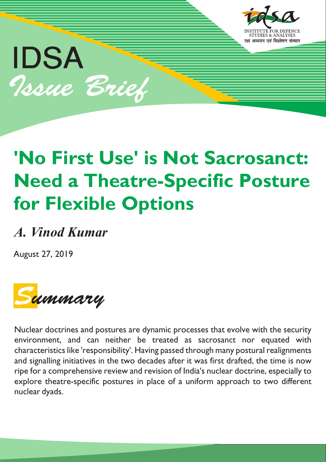

# IDSA Issue Brief

## **'No First Use' is Not Sacrosanct: Need a Theatre-Specific Posture for Flexible Options**

### *A. Vinod Kumar*

August 27, 2019



Nuclear doctrines and postures are dynamic processes that evolve with the security environment, and can neither be treated as sacrosanct nor equated with characteristics like 'responsibility'. Having passed through many postural realignments and signalling initiatives in the two decades after it was first drafted, the time is now ripe for a comprehensive review and revision of India's nuclear doctrine, especially to explore theatre-specific postures in place of a uniform approach to two different nuclear dyads.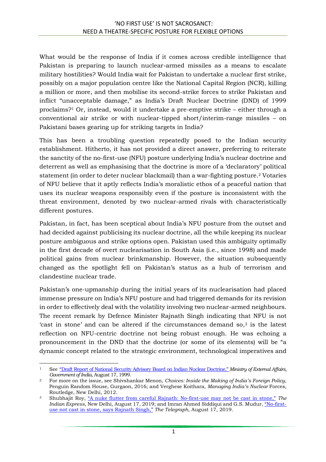What would be the response of India if it comes across credible intelligence that Pakistan is preparing to launch nuclear-armed missiles as a means to escalate military hostilities? Would India wait for Pakistan to undertake a nuclear first strike, possibly on a major population centre like the National Capital Region (NCR), killing a million or more, and then mobilise its second-strike forces to strike Pakistan and inflict "unacceptable damage," as India's Draft Nuclear Doctrine (DND) of 1999 proclaims?<sup>1</sup> Or, instead, would it undertake a pre-emptive strike – either through a conventional air strike or with nuclear-tipped short/interim-range missiles – on Pakistani bases gearing up for striking targets in India?

This has been a troubling question repeatedly posed to the Indian security establishment. Hitherto, it has not provided a direct answer, preferring to reiterate the sanctity of the no-first-use (NFU) posture underlying India's nuclear doctrine and deterrent as well as emphasising that the doctrine is more of a 'declaratory' political statement (in order to deter nuclear blackmail) than a war-fighting posture.<sup>2</sup> Votaries of NFU believe that it aptly reflects India's moralistic ethos of a peaceful nation that uses its nuclear weapons responsibly even if the posture is inconsistent with the threat environment, denoted by two nuclear-armed rivals with characteristically different postures.

Pakistan, in fact, has been sceptical about India's NFU posture from the outset and had decided against publicising its nuclear doctrine, all the while keeping its nuclear posture ambiguous and strike options open. Pakistan used this ambiguity optimally in the first decade of overt nuclearisation in South Asia (i.e., since 1998) and made political gains from nuclear brinkmanship. However, the situation subsequently changed as the spotlight fell on Pakistan's status as a hub of terrorism and clandestine nuclear trade.

Pakistan's one-upmanship during the initial years of its nuclearisation had placed immense pressure on India's NFU posture and had triggered demands for its revision in order to effectively deal with the volatility involving two nuclear-armed neighbours. The recent remark by Defence Minister Rajnath Singh indicating that NFU is not 'cast in stone' and can be altered if the circumstances demand so,<sup>3</sup> is the latest reflection on NFU-centric doctrine not being robust enough. He was echoing a pronouncement in the DND that the doctrine (or some of its elements) will be "a dynamic concept related to the strategic environment, technological imperatives and

**<sup>.</sup>** <sup>1</sup> See ["Draft Report of National Security Advisory Board on Indian Nuclear Doctrine,"](https://mea.gov.in/in-focus-article.htm?18916/Draft+Report+of+National+Security+Advisory+Board+on+Indian+Nuclear+Doctrine) *Ministry of External Affairs, Government of India*, August 17, 1999.

<sup>2</sup> For more on the issue, see Shivshankar Menon, *Choices: Inside the Making of India's Foreign Policy*, Penguin Random House, Gurgaon, 2016; and Verghese Koithara, *Managing India's Nuclear* Forces, Routledge, New Delhi, 2012.

<sup>3</sup> Shubhajit Roy, ["A nuke flutter from careful Rajnath: No](https://indianexpress.com/article/india/a-nuke-flutter-from-careful-rajnath-no-first-use-may-not-be-cast-in-stone-5911640/)-first-use may not be cast in stone," *The Indian Express*, New Delhi, August 17, 2019; and Imran Ahmed Siddiqui and G.S. Mudur, "No[-first](https://www.telegraphindia.com/india/no-first-use-not-cast-in-stone-says-rajnath-singh/cid/1698270)[use not cast in stone, says Rajnath Singh,"](https://www.telegraphindia.com/india/no-first-use-not-cast-in-stone-says-rajnath-singh/cid/1698270) *The Telegraph*, August 17, 2019.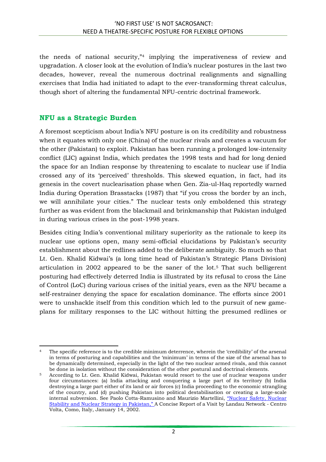the needs of national security,"<sup>4</sup> implying the imperativeness of review and upgradation. A closer look at the evolution of India's nuclear postures in the last two decades, however, reveal the numerous doctrinal realignments and signalling exercises that India had initiated to adapt to the ever-transforming threat calculus, though short of altering the fundamental NFU-centric doctrinal framework.

#### **NFU as a Strategic Burden**

A foremost scepticism about India's NFU posture is on its credibility and robustness when it equates with only one (China) of the nuclear rivals and creates a vacuum for the other (Pakistan) to exploit. Pakistan has been running a prolonged low-intensity conflict (LIC) against India, which predates the 1998 tests and had for long denied the space for an Indian response by threatening to escalate to nuclear use if India crossed any of its 'perceived' thresholds. This skewed equation, in fact, had its genesis in the covert nuclearisation phase when Gen. Zia-ul-Haq reportedly warned India during Operation Brasstacks (1987) that "if you cross the border by an inch, we will annihilate your cities." The nuclear tests only emboldened this strategy further as was evident from the blackmail and brinkmanship that Pakistan indulged in during various crises in the post-1998 years.

Besides citing India's conventional military superiority as the rationale to keep its nuclear use options open, many semi-official elucidations by Pakistan's security establishment about the redlines added to the deliberate ambiguity. So much so that Lt. Gen. Khalid Kidwai's (a long time head of Pakistan's Strategic Plans Division) articulation in 2002 appeared to be the saner of the lot.<sup>5</sup> That such belligerent posturing had effectively deterred India is illustrated by its refusal to cross the Line of Control (LoC) during various crises of the initial years, even as the NFU became a self-restrainer denying the space for escalation dominance. The efforts since 2001 were to unshackle itself from this condition which led to the pursuit of new gameplans for military responses to the LIC without hitting the presumed redlines or

<sup>1</sup> <sup>4</sup> The specific reference is to the credible minimum deterrence, wherein the 'credibility' of the arsenal in terms of posturing and capabilities and the 'minimum' in terms of the size of the arsenal has to be dynamically determined, especially in the light of the two nuclear armed rivals, and this cannot be done in isolation without the consideration of the other postural and doctrinal elements.

<sup>5</sup> According to Lt. Gen. Khalid Kidwai, Pakistan would resort to the use of nuclear weapons under four circumstances: (a) India attacking and conquering a large part of its territory (b) India destroying a large part either of its land or air forces (c) India proceeding to the economic strangling of the country, and (d) pushing Pakistan into political destabilisation or creating a large-scale internal subversion. See Paolo Cotta-Ramusino and Maurizio Martellini, ["Nuclear Safety, Nuclear](https://pugwash.org/2002/01/14/report-on-nuclear-safety-nuclear-stability-and-nuclear-strategy-in-pakistan/)  [Stability and Nuclear Strategy in Pakistan,"](https://pugwash.org/2002/01/14/report-on-nuclear-safety-nuclear-stability-and-nuclear-strategy-in-pakistan/) A Concise Report of a Visit by Landau Network - Centro Volta, Como, Italy, January 14, 2002.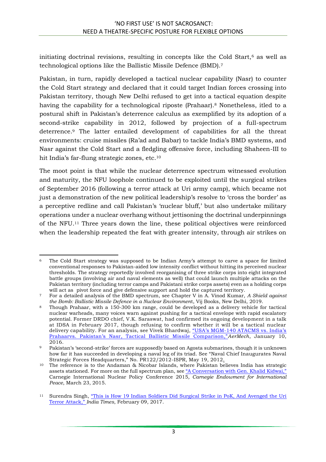initiating doctrinal revisions, resulting in concepts like the Cold Start, $6$  as well as technological options like the Ballistic Missile Defence (BMD).<sup>7</sup>

Pakistan, in turn, rapidly developed a tactical nuclear capability (Nasr) to counter the Cold Start strategy and declared that it could target Indian forces crossing into Pakistan territory, though New Delhi refused to get into a tactical equation despite having the capability for a technological riposte (Prahaar).<sup>8</sup> Nonetheless, itled to a postural shift in Pakistan's deterrence calculus as exemplified by its adoption of a second-strike capability in 2012, followed by projection of a full-spectrum deterrence.<sup>9</sup> The latter entailed development of capabilities for all the threat environments: cruise missiles (Ra'ad and Babar) to tackle India's BMD systems, and Nasr against the Cold Start and a fledgling offensive force, including Shaheen-III to hit India's far-flung strategic zones, etc.<sup>10</sup>

The moot point is that while the nuclear deterrence spectrum witnessed evolution and maturity, the NFU loophole continued to be exploited until the surgical strikes of September 2016 (following a terror attack at Uri army camp), which became not just a demonstration of the new political leadership's resolve to 'cross the border' as a perceptive redline and call Pakistan's 'nuclear bluff,' but also undertake military operations under a nuclear overhang without jettisoning the doctrinal underpinnings of the NFU.<sup>11</sup> Three years down the line, these political objectives were reinforced when the leadership repeated the feat with greater intensity, through air strikes on

**<sup>.</sup>** <sup>6</sup> The Cold Start strategy was supposed to be Indian Army's attempt to carve a space for limited conventional responses to Pakistan-aided low intensity conflict without hitting its perceived nuclear thresholds. The strategy reportedly involved reorganising of three strike corps into eight integrated battle groups (involving air and naval elements as well) that could launch multiple attacks on the Pakistan territory (including terror camps and Pakistani strike corps assets) even as a holding corps will act as pivot force and give defensive support and hold the captured territory.

<sup>7</sup> For a detailed analysis of the BMD spectrum, see Chapter V in A. Vinod Kumar, *A Shield against the Bomb: Ballistic Missile Defence in a Nuclear Environmen*t, Vij Books, New Delhi, 2019.

<sup>8</sup> Though Prahaar, with a 150-300 km range, could be developed as a delivery vehicle for tactical nuclear warheads, many voices warn against pushing for a tactical envelope with rapid escalatory potential. Former DRDO chief, V.K. Saraswat, had confirmed its ongoing development in a talk at IDSA in February 2017, though refusing to confirm whether it will be a tactical nuclear delivery capability. For an analysis, see Vivek Bhardwaj, "USA's MGM-[140 ATACMS vs. India's](http://aermech.in/usas-mgm-140-atacms-vs-indias-prahaar-vs-pakistans-nasr-tactical-ballistic-missile-comparison/)  Prahaarvs. Pakistan's Nasr[, Tactical Ballistic Missile Comparison,"](http://aermech.in/usas-mgm-140-atacms-vs-indias-prahaar-vs-pakistans-nasr-tactical-ballistic-missile-comparison/)*AerMech*, January 10, 2016.

<sup>9</sup> Pakistan's 'second-strike' forces are supposedly based on Agosta submarines, though it is unknown how far it has succeeded in developing a naval leg of its triad. See "Naval Chief Inaugurates Naval Strategic Forces Headquarters," No. PR122/2012-ISPR, May 19, 2012.

<sup>10</sup> The reference is to the Andaman & Nicobar Islands, where Pakistan believes India has strategic assets stationed. For more on the full spectrum plan, see ["A Conversation with Gen. Khalid Kidwai,"](https://carnegieendowment.org/files/03-230315carnegieKIDWAI.pdf) Carnegie International Nuclear Policy Conference 2015*, Carnegie Endowment for International Peace*, March 23, 2015.

<sup>11</sup> Surendra Singh, "[This is How 19 Indian Soldiers Did Surgical Strike in PoK, And Avenged the Uri](https://www.indiatimes.com/news/india/this-is-how-19-indian-soldiers-did-surgical-strike-in-pok-and-avenged-the-uri-terror-attack-271166.html)  [Terror Attack,"](https://www.indiatimes.com/news/india/this-is-how-19-indian-soldiers-did-surgical-strike-in-pok-and-avenged-the-uri-terror-attack-271166.html) *India Times*, February 09, 2017.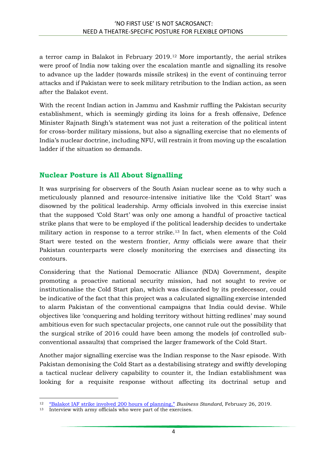a terror camp in Balakot in February 2019.<sup>12</sup> More importantly, the aerial strikes were proof of India now taking over the escalation mantle and signalling its resolve to advance up the ladder (towards missile strikes) in the event of continuing terror attacks and if Pakistan were to seek military retribution to the Indian action, as seen after the Balakot event.

With the recent Indian action in Jammu and Kashmir ruffling the Pakistan security establishment, which is seemingly girding its loins for a fresh offensive, Defence Minister Rajnath Singh's statement was not just a reiteration of the political intent for cross-border military missions, but also a signalling exercise that no elements of India's nuclear doctrine, including NFU, will restrain it from moving up the escalation ladder if the situation so demands.

#### **Nuclear Posture is All About Signalling**

It was surprising for observers of the South Asian nuclear scene as to why such a meticulously planned and resource-intensive initiative like the 'Cold Start' was disowned by the political leadership. Army officials involved in this exercise insist that the supposed 'Cold Start' was only one among a handful of proactive tactical strike plans that were to be employed if the political leadership decides to undertake military action in response to a terror strike.<sup>13</sup> In fact, when elements of the Cold Start were tested on the western frontier, Army officials were aware that their Pakistan counterparts were closely monitoring the exercises and dissecting its contours.

Considering that the National Democratic Alliance (NDA) Government, despite promoting a proactive national security mission, had not sought to revive or institutionalise the Cold Start plan, which was discarded by its predecessor, could be indicative of the fact that this project was a calculated signalling exercise intended to alarm Pakistan of the conventional campaigns that India could devise. While objectives like 'conquering and holding territory without hitting redlines' may sound ambitious even for such spectacular projects, one cannot rule out the possibility that the surgical strike of 2016 could have been among the models (of controlled subconventional assaults) that comprised the larger framework of the Cold Start.

Another major signalling exercise was the Indian response to the Nasr episode. With Pakistan demonising the Cold Start as a destabilising strategy and swiftly developing a tactical nuclear delivery capability to counter it, the Indian establishment was looking for a requisite response without affecting its doctrinal setup and

**<sup>.</sup>** <sup>12</sup> ["Balakot IAF strike involved 200 hours of planning,"](https://www.business-standard.com/article/news-ians/balakot-iaf-strike-involved-over-200-hours-of-planning-119022600940_1.html) *Business Standard*, February 26, 2019.

<sup>13</sup> Interview with army officials who were part of the exercises.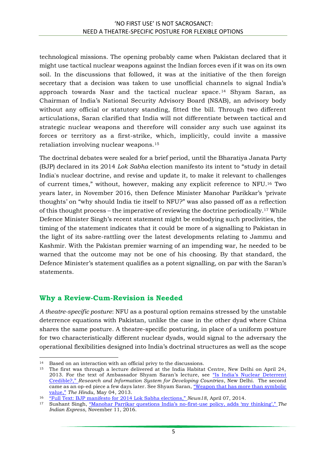technological missions. The opening probably came when Pakistan declared that it might use tactical nuclear weapons against the Indian forces even if it was on its own soil. In the discussions that followed, it was at the initiative of the then foreign secretary that a decision was taken to use unofficial channels to signal India's approach towards Nasr and the tactical nuclear space.<sup>14</sup> Shyam Saran, as Chairman of India's National Security Advisory Board (NSAB), an advisory body without any official or statutory standing, fitted the bill. Through two different articulations, Saran clarified that India will not differentiate between tactical and strategic nuclear weapons and therefore will consider any such use against its forces or territory as a first-strike, which, implicitly, could invite a massive retaliation involving nuclear weapons.<sup>15</sup>

The doctrinal debates were sealed for a brief period, until the Bharatiya Janata Party (BJP) declared in its 2014 *Lok Sabha* election manifesto its intent to "study in detail India's nuclear doctrine, and revise and update it, to make it relevant to challenges of current times," without, however, making any explicit reference to NFU.<sup>16</sup> Two years later, in November 2016, then Defence Minister Manohar Parikkar's 'private thoughts' on "why should India tie itself to NFU?" was also passed off as a reflection of this thought process – the imperative of reviewing the doctrine periodically.<sup>17</sup> While Defence Minister Singh's recent statement might be embodying such proclivities, the timing of the statement indicates that it could be more of a signalling to Pakistan in the light of its sabre-rattling over the latest developments relating to Jammu and Kashmir. With the Pakistan premier warning of an impending war, he needed to be warned that the outcome may not be one of his choosing. By that standard, the Defence Minister's statement qualifies as a potent signalling, on par with the Saran's statements.

#### **Why a Review-Cum-Revision is Needed**

*A theatre-specific posture*: NFU as a postural option remains stressed by the unstable deterrence equations with Pakistan, unlike the case in the other dyad where China shares the same posture. A theatre-specific posturing, in place of a uniform posture for two characteristically different nuclear dyads, would signal to the adversary the operational flexibilities designed into India's doctrinal structures as well as the scope

 $\overline{a}$ <sup>14</sup> Based on an interaction with an official privy to the discussions.

<sup>&</sup>lt;sup>15</sup> The first was through a lecture delivered at the India Habitat Centre, New Delhi on April 24, 2013. For the text of Ambassador Shyam Saran's lecture, see ["Is India's Nuclear Deterrent](http://ris.org.in/images/RIS_images/pdf/Final%20Is%20India)  [Credible?,"](http://ris.org.in/images/RIS_images/pdf/Final%20Is%20India) *Research and Information System for Developing Countries*, New Delhi. The second came as an op-ed piece a few days later. See Shyam Saran, "Weapon that has more than symbolic [value,"](https://www.thehindu.com/opinion/lead/Weapon-that-has-more-than-symbolic-value/article12121573.ece) *The Hindu*, May 04, 2013.

<sup>16</sup> ["Full Text: BJP manifesto for 2014 Lok Sabha elections,"](https://www.news18.com/news/politics/full-text-bjp-manifesto-for-2014-lok-sabha-elections-679304.html) *News18*, April 07, 2014.

<sup>17</sup> Sushant Singh, ["Manohar Parrikar questions India's no](https://indianexpress.com/article/india/india-news-india/manohar-parrikar-questions-no-first-use-nuclear-policy-adds-my-thinking-4369062/)-first-use policy, adds 'my thinking'," *The Indian Express*, November 11, 2016.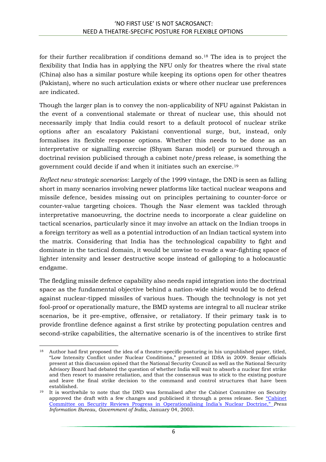for their further recalibration if conditions demand so.<sup>18</sup> The idea is to project the flexibility that India has in applying the NFU only for theatres where the rival state (China) also has a similar posture while keeping its options open for other theatres (Pakistan), where no such articulation exists or where other nuclear use preferences are indicated.

Though the larger plan is to convey the non-applicability of NFU against Pakistan in the event of a conventional stalemate or threat of nuclear use, this should not necessarily imply that India could resort to a default protocol of nuclear strike options after an escalatory Pakistani conventional surge, but, instead, only formalises its flexible response options. Whether this needs to be done as an interpretative or signalling exercise (Shyam Saran model) or pursued through a doctrinal revision publicised through a cabinet note/press release, is something the government could decide if and when it initiates such an exercise.<sup>19</sup>

*Reflect new strategic scenarios*: Largely of the 1999 vintage, the DND is seen as falling short in many scenarios involving newer platforms like tactical nuclear weapons and missile defence, besides missing out on principles pertaining to counter-force or counter-value targeting choices. Though the Nasr element was tackled through interpretative manoeuvring, the doctrine needs to incorporate a clear guideline on tactical scenarios, particularly since it may involve an attack on the Indian troops in a foreign territory as well as a potential introduction of an Indian tactical system into the matrix. Considering that India has the technological capability to fight and dominate in the tactical domain, it would be unwise to evade a war-fighting space of lighter intensity and lesser destructive scope instead of galloping to a holocaustic endgame.

The fledgling missile defence capability also needs rapid integration into the doctrinal space as the fundamental objective behind a nation-wide shield would be to defend against nuclear-tipped missiles of various hues. Though the technology is not yet fool-proof or operationally mature, the BMD systems are integral to all nuclear strike scenarios, be it pre-emptive, offensive, or retaliatory. If their primary task is to provide frontline defence against a first strike by protecting population centres and second-strike capabilities, the alternative scenario is of the incentives to strike first

**<sup>.</sup>** <sup>18</sup> Author had first proposed the idea of a theatre-specific posturing in his unpublished paper, titled, "Low Intensity Conflict under Nuclear Conditions," presented at IDSA in 2009. Senior officials present at this discussion opined that the National Security Council as well as the National Security Advisory Board had debated the question of whether India will wait to absorb a nuclear first strike and then resort to massive retaliation, and that the consensus was to stick to the existing posture and leave the final strike decision to the command and control structures that have been established.

<sup>&</sup>lt;sup>19</sup> It is worthwhile to note that the DND was formalised after the Cabinet Committee on Security approved the draft with a few changes and publicised it through a press release. See "[Cabinet](http://pibarchive.nic.in/archive/releases98/lyr2003/rjan2003/04012003/r040120033.html)  [Committee on Security Reviews Progress in](http://pibarchive.nic.in/archive/releases98/lyr2003/rjan2003/04012003/r040120033.html) Operationalising India's Nuclear Doctrine," *Press Information Bureau*, *Government of India*, January 04, 2003.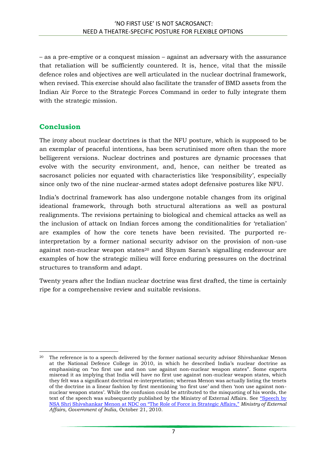– as a pre-emptive or a conquest mission – against an adversary with the assurance that retaliation will be sufficiently countered. It is, hence, vital that the missile defence roles and objectives are well articulated in the nuclear doctrinal framework, when revised. This exercise should also facilitate the transfer of BMD assets from the Indian Air Force to the Strategic Forces Command in order to fully integrate them with the strategic mission.

#### **Conclusion**

The irony about nuclear doctrines is that the NFU posture, which is supposed to be an exemplar of peaceful intentions, has been scrutinised more often than the more belligerent versions. Nuclear doctrines and postures are dynamic processes that evolve with the security environment, and, hence, can neither be treated as sacrosanct policies nor equated with characteristics like 'responsibility', especially since only two of the nine nuclear-armed states adopt defensive postures like NFU.

India's doctrinal framework has also undergone notable changes from its original ideational framework, through both structural alterations as well as postural realignments. The revisions pertaining to biological and chemical attacks as well as the inclusion of attack on Indian forces among the conditionalities for 'retaliation' are examples of how the core tenets have been revisited. The purported reinterpretation by a former national security advisor on the provision of non-use against non-nuclear weapon states<sup>20</sup> and Shyam Saran's signalling endeavour are examples of how the strategic milieu will force enduring pressures on the doctrinal structures to transform and adapt.

Twenty years after the Indian nuclear doctrine was first drafted, the time is certainly ripe for a comprehensive review and suitable revisions.

<sup>1</sup> <sup>20</sup> The reference is to a speech delivered by the former national security advisor Shivshankar Menon at the National Defence College in 2010, in which he described India's nuclear doctrine as emphasising on "no first use and non use against non-nuclear weapon states". Some experts misread it as implying that India will have no first use against non-nuclear weapon states, which they felt was a significant doctrinal re-interpretation; whereas Menon was actually listing the tenets of the doctrine in a linear fashion by first mentioning 'no first use' and then 'non use against nonnuclear weapon states'. While the confusion could be attributed to the misquoting of his words, the text of the speech was subsequently published by the Ministry of External Affairs. See "Speech by [NSA Shri Shivshankar Menon at NDC on "The Role of Force in Strategic Affairs,"](https://www.mea.gov.in/Speeches-Statements.htm?dtl/798/Speech+by+NSA+Shri+Shivshankar+Menon+at+NDC+on+The+Role+of+Force+in+Strategic+Affairs) *Ministry of External Affairs, Government of India*, October 21, 2010.